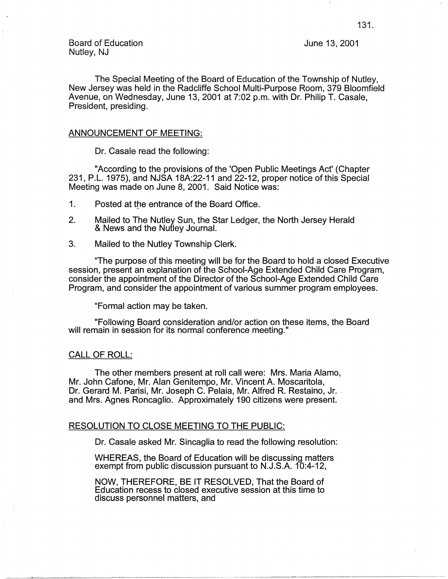Board of Education Nutley, NJ

June 13, 2001

The Special Meeting of the Board of Education of the Township of Nutley, New Jersey was held in the Radcliffe School Multi-Purpose Room, 379 Bloomfield Avenue, on Wednesday, June 13, 2001 at 7:02 p.m. with Dr. Philip T. Casale, President, presiding.

### ANNOUNCEMENT OF MEETING:

Dr. Casale read the following:

"According to the provisions of the 'Open Public Meetings Act' (Chapter 231, P.L. 1975), and NJSA 18A:22-11 and 22-12, proper notice of this Special Meeting was made on June 8, 2001. Said Notice was:

1. Posted at the entrance of the Board Office.

- 2. Mailed to The Nutley Sun, the Star Ledger, the North Jersey Herald & News and the Nutley Journal.
- 3. Mailed to the Nutley Township Clerk.

"The purpose of this meeting will be for the Board to hold a closed Executive session, present an explanation of the School-Age Extended Child Care Program, consider the appointment of the Director of the School-Age Extended Child Care Program, and consider the appointment of various summer program employees.

"Formal action may be taken.

"Following Board consideration and/or action on these items, the Board will remain in session for its normal conference meeting."

### CALL OF ROLL:

The other members present at roll call were: Mrs. Maria Alamo, Mr. John Cafone, Mr. Alan Genitempo, Mr. Vincent A. Moscaritola, Dr. Gerard M. Parisi, Mr. Joseph C. Pelaia, Mr. Alfred R. Restaino, Jr. and Mrs. Agnes Roncaglio. Approximately 190 citizens were present.

### RESOLUTION TO CLOSE MEETING TO THE PUBLIC:

Dr. Casale asked Mr. Sincaglia to read the following resolution:

WHEREAS, the Board of Education will be discussing matters exempt from public discussion pursuant to N.J.S.A. 10:4-12,

NOW, THEREFORE, BE IT RESOLVED, That the Board of Education recess to closed executive session at this time to discuss personnel matters, and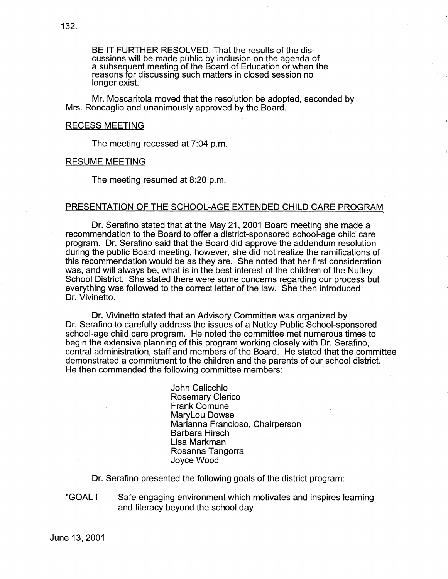BE IT FURTHER RESOLVED, That the results of the discussions will be made public by inclusion on the agenda of a subsequent meeting of the Board of Education or when the reasons for discussing such matters in closed session no longer exist.

Mr. Moscaritola moved that the resolution be adopted, seconded by Mrs. Roncaglio and unanimously approved by the Board.

### RECESS MEETING

The meeting recessed at 7:04 p.m.

### RESUME MEETING

The meeting resumed at 8:20 p.m.

## PRESENTATION OF THE SCHOOL-AGE EXTENDED CHILD CARE PROGRAM

Dr. Serafino stated that at the May 21, 2001 Board meeting she made a recommendation to the Board to offer a district-sponsored school-age child care program. Dr. Serafino said that the Board did approve the addendum resolution during the public Board meeting, however, she did not realize the ramifications of this recommendation would be as they are. She noted that her first consideration was, and will always be, what is in the best interest of the children of the Nutley School District. She stated there were some concerns regarding our process but everything was followed to the correct letter of the law. She then introduced Dr. Vivinetto.

Dr. Vivinetto stated that an Advisory Committee was organized by Dr. Serafino to carefully address the issues of a Nutley Public School-sponsored school-age child care program. He noted the committee met numerous times to begin the extensive planning of this program working closely with Dr. Serafino, central administration, staff and members of the Board. He stated that the committee demonstrated a commitment to the children and the parents of our school district. He then commended the following committee members:

> John Calicchio Rosemary Clerico Frank Comune Marylou Dowse Marianna Franciosa, Chairperson Barbara Hirsch Lisa Markman Rosanna Tangorra Joyce Wood

Dr. Serafino presented the following goals of the district program:

"GOALI Safe engaging environment which motivates and inspires learning and literacy beyond the school day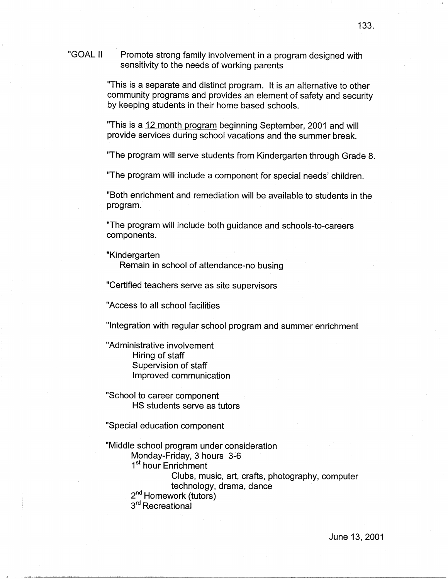#### "GOALII Promote strong family involvement in a program designed with sensitivity to the needs of working parents

"This is a separate and distinct program. It is an alternative to other community programs and provides an element of safety and security by keeping students in their home based schools.

"This is a 12 month program beginning September, 2001 and will provide services during school vacations and the summer break.

"The program will serve students from Kindergarten through Grade 8.

"The program will include a component for special needs' children.

"Both enrichment and remediation will be available to students in the program.

"The program will include both guidance and schools-to-careers components.

"Kindergarten

Remain in school of attendance-no busing

"Certified teachers serve as site supervisors

"Access to all school facilities

"Integration with regular school program and summer enrichment

"Administrative involvement Hiring of staff Supervision of staff Improved communication

"School to career component HS students serve as tutors

"Special education component

"Middle school program under consideration Monday-Friday, 3 hours 3-6 1<sup>st</sup> hour Enrichment Clubs, music, art, crafts, photography, computer technology, drama, dance 2<sup>nd</sup> Homework (tutors) 3<sup>rd</sup> Recreational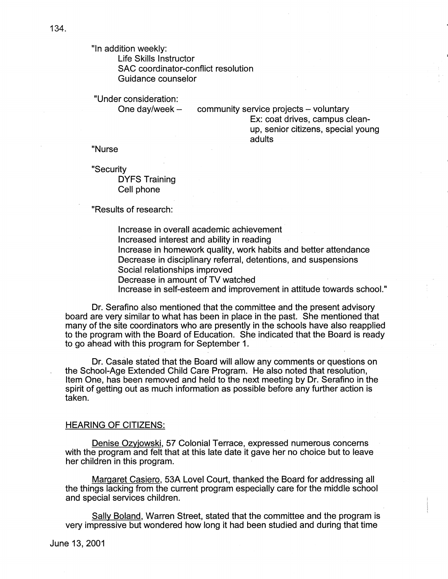"In addition weekly:

Life Skills Instructor SAC coordinator-conflict resolution Guidance counselor

"Under consideration:

One day/week  $-$ 

community service projects - voluntary Ex: coat drives, campus cleanup, senior citizens, special young adults

"Nurse

"Security DYFS Traihing Cell phone

"Results of research:

Increase in overall academic achievement Increased interest and ability in reading Increase in homework quality, work habits and better attendance Decrease in disciplinary referral, detentions, and suspensions Social relationships improved Decrease in amount of TV watched Increase in self-esteem and improvement in attitude towards school."

Dr. Serafino also mentioned that the committee and the present advisory board are very similar to what has been in place in the past. She mentioned that many of the site coordinators who are presently in the schools have also reapplied to the program with the Board of Education. She indicated that the Board is ready to go ahead with this program for September 1.

Dr. Casale stated that the Board will allow any comments or questions on the School-Age Extended Child Care Program. He also noted that resolution, Item One, has been removed and held to the next meeting by Dr. Serafino in the spirit of getting out as much information as possible before any further action is taken.

### HEARING OF CITIZENS:

Denise Ozyjowski, 57 Colonial Terrace, expressed numerous concerns with the program and felt that at this late date it gave her no choice but to leave her children in this program.

Margaret Casiero, 53A Lovel Court, thanked the Board for addressing all the things lacking from the current program especially care for the middle school and special services children.

Sally Boland, Warren Street, stated that the committee and the program is very impressive but wondered how long it had been studied and during that time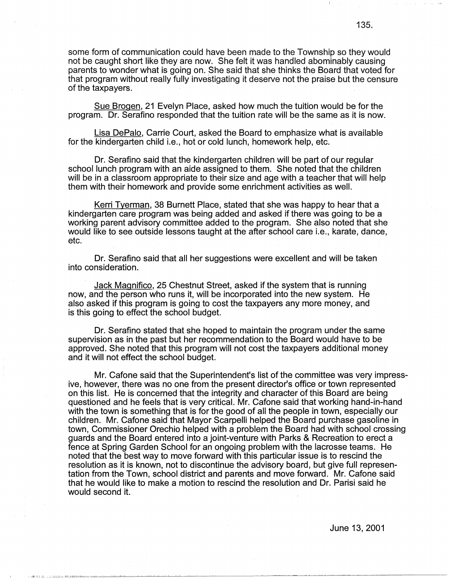some form of communication could have been made to the Township so they would not be caught short like they are now. She felt it was handled abominably causing parents to wonder what is going on. She said that she thinks the Board that voted for that program without really fully investigating it deserve not the praise but the censure of the taxpayers.

Sue Brogen, 21 Evelyn Place, asked how much the tuition would be for the program. Dr. Serafino responded that the tuition rate will be the same as it is now.

Lisa DePalo, Carrie Court, asked the Board to emphasize what is available for the kindergarten child i.e., hot or cold lunch, homework help, etc.

Dr. Serafino said that the kindergarten children will be part of our regular school lunch program with an aide assigned to them. She noted that the children will be in a classroom appropriate to their size and age with a teacher that will help them with their homework and provide some enrichment activities as well.

Kerri Tyerman, 38 Burnett Place, stated that she was happy to hear that a kindergarten care program was being added and asked if there was going to be a working parent advisory committee added to the program. She also noted that she would like to see outside lessons taught at the after school care i.e., karate, dance, etc.

Dr. Serafino said that all her suggestions were excellent and will be taken into consideration.

Jack Magnifico, 25 Chestnut Street, asked if the system that is running now, and the person who runs it, will be incorporated into the new system. He also asked if this program is going to cost the taxpayers any more money, and is this going to effect the school budget.

Or. Serafino stated that she hoped to maintain the program under the same supervision as in the past but her recommendation to the Board would have to be approved. She noted that this program will not cost the taxpayers additional money and it will not effect the school budget.

Mr. Cafone said that the Superintendent's list of the committee was very impressive, however, there was no one from the present director's office or town represented on this list. He is concerned that the integrity and character of this Board are being questioned and he feels that is very critical. Mr. Cafone said that working hand-in-hand with the town is something that is for the good of all the people in town, especially our children. Mr. Cafone said that Mayor Scarpelli helped the Board purchase gasoline in town, Commissioner Orechio helped with a problem the Board had with school crossing guards and the Board entered into a joint-venture with Parks & Recreation to erect a fence at Spring Garden School for an ongoing problem with the lacrosse teams. He noted that the best way to move forward with this particular issue is to rescind the resolution as it is known, not to discontinue the advisory board, but give full representation from the Town, school district and parents and move forward. Mr. Cafone said that he would like to make a motion to rescind the resolution and Dr. Parisi said he would second it.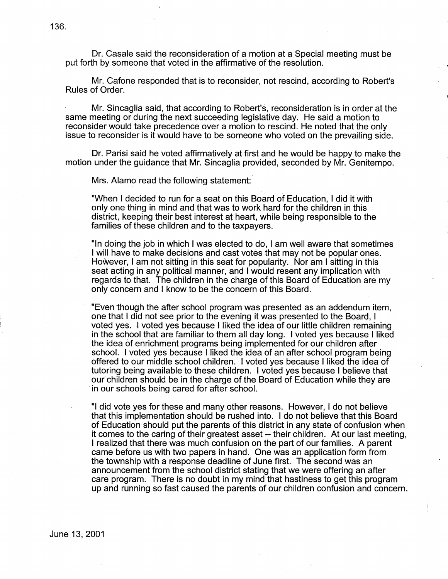Dr. Casale said the reconsideration of a motion at a Special meeting must be put forth by someone that voted in the affirmative of the resolution.

Mr. Cafone responded that is to reconsider, not rescind, according to Robert's Rules of Order.

Mr. Sincaglia said, that according to Robert's, reconsideration is in order at the same meeting or during the next succeeding legislative day. He said a motion to reconsider would take precedence over a motion to rescind. He noted that the only issue to reconsider is it would have to be someone who voted on the prevailing side.

Dr. Parisi said he voted affirmatively at first and he would be happy to make the motion under the guidance that Mr. Sincaglia provided, seconded by Mr. Genitempo.

Mrs. Alamo read the following statement:

"When I decided to run for a seat on this Board of Education, I did it with only one thing in mind and that was to work hard for the children in this district, keeping their best interest at heart, while being responsible to the families of these children and to the taxpayers.

"In doing the job in which I was elected to do, I am well aware that sometimes I will have to make decisions and cast votes that may not be popular ones. However, I am not sitting in this seat for popularity. Nor am I sitting in this seat acting in any political manner, and I would resent any implication with regards to that. The children in the charge of this Board of Education are my only concern and I know to be the concern of this Board.

"Even though the after school program was presented as an addendum item, one that I did not see prior to the evening it was presented to the Board, I voted yes. I voted yes because I liked the idea of our little children remaining in the school that are familiar to them all day long. I voted yes because I liked the idea of enrichment programs being implemented for our children after school. I voted yes because I liked the idea of an after school program being offered to our middle school children. I voted yes because I liked the idea of tutoring being available to these children. I voted yes because I believe that our" children should be in the charge of the Board of Education while they are in our schools being cared for after school.

"I did vote yes for these and many other reasons. However, I do not believe that this implementation should be rushed into. I do not believe that this Board of Education should put the parents of this district in any state of confusion when it comes to the caring of their greatest asset -- their children. At our last meeting, I realized that there was much confusion on the part of our families. A parent came before us with two papers in hand. One was an application form from the township with a response deadline of June first. The second was an announcement from the school district stating that we were offering an after care program. There is no doubt in my mind that hastiness to get this program up and running so fast caused the parents of our children confusion and concern.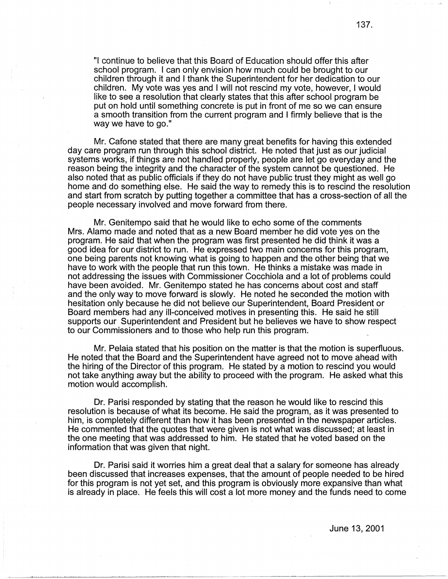"I continue to believe that this Board of Education should offer this after school program. I can only envision how much could be brought to our children through it and I thank the Superintendent for her dedication to our children. My vote was yes and I will not rescind my vote, however, I would like to see a resolution that clearly states that this after school program be put on hold until something concrete is put in front of me so we can ensure a smooth transition from the current program and I firmly believe that is the way we have to go."

Mr. Catone stated that there are many great benefits for having this extended day care program run through this school district. He noted that just as our judicial systems works, if things are not handled properly, people are let go everyday and the reason being the integrity and the character of the system cannot be questioned. He also noted that as public officials if they do not have public trust they might as well go home and do something else. He said the way to remedy this is to rescind the resolution and start from scratch by putting together a committee that has a cross-section of all the people necessary involved and move forward from there.

Mr. Genitempo said that he would like to echo some of the comments Mrs. Alamo made and noted that as a new Board member he did vote yes on the program. He said that when the program was first presented he did think it was a good idea for our district to run. He expressed two main concerns for this program, one being parents not knowing what is going to happen and the other being that we have to work with the people that run this town. He thinks a mistake was made in not addressing the issues with Commissioner Cocchiola and a lot of problems could have been avoided. Mr. Genitempo stated he has concerns about cost and staff and the only way to move forward is slowly. He noted he seconded the motion with hesitation only because he did not believe our Superintendent, Board President or Board members had any ill-conceived motives in presenting this. He said he still supports our Superintendent and President but he believes we have to show respect to our Commissioners and to those who help run this program.

Mr. Pelaia stated that his position on the matter is that the motion is superfluous. He noted that the Board and the Superintendent have agreed not to move ahead with the hiring of the Director of this program. He stated by a motion to rescind you would not take anything away but the ability to proceed with the program. He asked what this motion would accomplish:

Dr. Parisi responded by stating that the reason he would like to rescind this resolution is because of what its become. He said the program, as it was presented to him, is completely different than how it has been presented in the newspaper articles. He commented that the quotes that were given is not what was discussed; at least in the one meeting that was addressed to him. He stated that he voted based on the information that was given that night.

Dr. Parisi said it worries him a great deal that a salary for someone has already been discussed that increases expenses, that the amount of people needed to be hired for this program is not yet set, and this program is obviously more expansive than what is already in place. He feels this will cost a lot more money and the funds need to come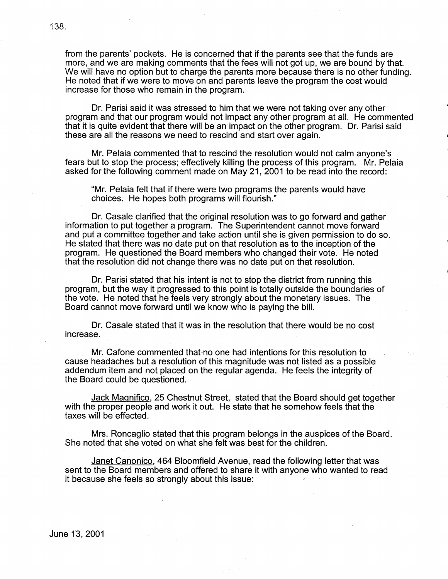from the parents' pockets. He is concerned that if the parents see that the funds are more, and we are making comments that the fees will not got up, we are bound by that. We will have no option but to charge the parents more because there is no other funding. He noted that if we were to move on and parents leave the program the cost would increase for those who remain in the program.

Dr. Parisi said it was stressed to him that we were not taking over any other program and that our program would not impact any other program at all. He commented that it is quite evident that there will be an impact on the other program. Dr. Parisi said these are all the reasons we need to rescind and start over again.

Mr. Pelaia commented that to rescind the resolution would not calm anyone's fears but to stop the process; effectively killing the process of this program. Mr .. Pelaia asked for the following comment made on May 21, 2001 to be read into the record:

"Mr. Pelaia felt that if there were two programs the parents would have choices. He hopes both programs will flourish."

Dr. Casale clarified that the original resolution was to go forward and gather information to put together a program. The Superintendent cannot move forward and put a committee together and take action until she is given permission to do so. · He stated that there was no date put on that resolution as to the inception of the program. He questioned the Board members who changed their vote. He noted that the resolution did not change there was no date put on that resolution.

Dr. Parisi stated that his intent is not to stop the district from running this program, but the way it progressed to this point is totally outside the boundaries of the vote. He noted that he feels very strongly about the monetary issues. The Board cannot move forward until we know who is paying the bill.

Dr. Casale stated that it was in the resolution that there would be no cost increase.

. Mr. Cafone commented that-no one had intentions for this resolution to cause headaches but a resolution of this magnitude was not listed as a possible addendum item and not placed on the regular agenda. He feels the integrity of the Board could be questioned.

Jack Magnifico, 25 Chestnut Street,. stated that the Board should get together with the proper people and work it out. He state that he somehow feels that the taxes will be effected.

Mrs. Roncaglio stated that this program belongs in the auspices of the Board. She noted that she voted on what she felt was best for the children.

Janet Canonico, 464 Bloomfield Avenue, read the following letter that was sent to the Board members and offered to share it with anyone who wanted to read it because she feels so strongly about this issue: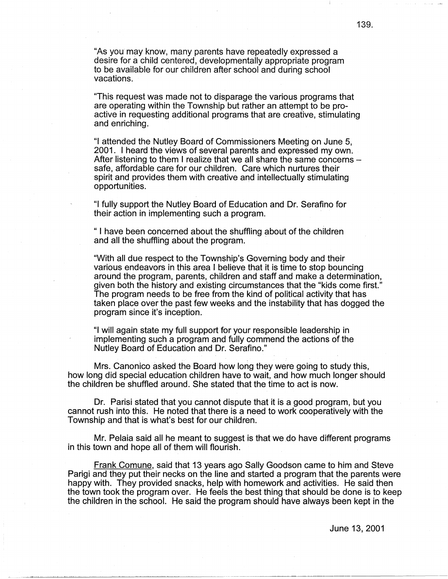"As you may know, many parents have repeatedly expressed a desire for a child centered, developmentally appropriate program to be available for our children after school and during school vacations.

"This request was made not to disparage the various programs that are operating within the Township but rather an attempt to be proactive in requesting additional programs that are creative, stimulating and enriching.

"I attended the Nutley Board of Commissioners Meeting on June 5, 2001. I heard the views of several parents and expressed my own. After listening to them I realize that we all share the same concerns  $$ safe, affordable care for our children. Care which nurtures their spirit and provides them with creative and intellectually stimulating opportunities.

"I fully support the Nutley Board of Education and Dr. Serafino for their action in implementing such a program.

" I have been concerned about the shuffling about of the children and all the shuffling about the program.

"With all due respect to the Township's Governing body and their various endeavors in this area I believe that it is time to stop bouncing around the program, parents, children and staff and make a determination, given both the history and existing circumstances that the "kids come first." The program needs to be free from the kind of political activity that has taken place over the past few weeks and the instability that has dogged the program since it's inception.

"I will again state my full support for your responsible leadership in implementing such a program and fully commend the actions of the Nutley Board of Education and Dr. Serafino."

. The simulation of the contribution of the contribution of the contribution of the contribution of the contribution of the contribution of the contribution of the contribution of the contribution of the contribution of t Mrs. Canonico asked the Board how long they were going to study this, how long did special education children have to wait, and how much longer should the children be shuffled around. She stated that the time to act is now.

Dr. Parisi stated that you cannot dispute that it is a good program, but you cannot rush into this. He noted that there is a need to work cooperatively with the Township and that is what's best for our children.

Mr. Pelaia said all he meant to suggest is that we do have different programs in this town and hope all of them will flourish.

Frank Comune, said that 13 years ago Sally Goodson came to him and Steve Parigi and they put their necks on the line and started a program that the parents were happy with. They provided snacks, help with homework and activities. He said then the town took the program over. He feels the best thing that should be done is to keep the children in the school. He said the program should have always been kept in the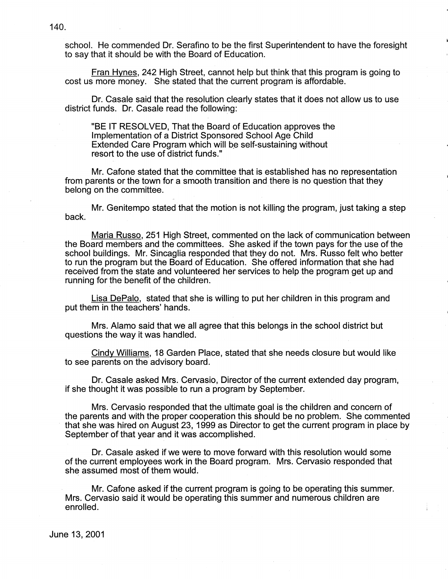school. He commended Dr. Serafino to be the first Superintendent to have the foresight to say that it should be with the Board of Education.

Fran Hynes, 242 High Street, cannot help but think that this program is going to cost us more money. She stated that the current program is affordable.

Dr. Casale said that the resolution clearly states that it does not allow us to use district funds. Dr. Casale read the following:

"BE IT RESOLVED, That the Board of Education approves the Implementation of a District Sponsored School Age Child Extended Care Program which will be self-sustaining without resort to the use of district funds."

Mr. Cafone stated that the committee that is established has no representation from parents or the town for a smooth transition and there is no question that they belong on the committee.

Mr. Genitempo stated that the motion is not killing the program, just taking a step back.

Maria Russo, 251 High Street, commented on the lack of communication between the Board members and the committees. She asked if the town pays for the use of the school buildings. Mr. Sincaglia responded that they do not. Mrs. Russo felt who better to run the program but the Board of Education. She offered information that she had received from the state and volunteered her services to help the program get up and running for the benefit of the children.

Lisa DePalo, stated that she is willing to put her children in this program and put them in the teachers' hands.

Mrs. Alamo said that we all agree that this belongs in the school district but questions the way it was handled.

Cindy Williams, 18 Garden Place, stated that she needs closure but would like to see parents on the advisory board.

Dr. Casale asked Mrs. Gervasio, Director of the current extended day program, if she thought it was possible to run a program by September.

Mrs. Gervasio responded that the ultimate goal is the children and concern of the parents and with the proper cooperation this should be no problem. She commented · that she was hired on August 23, 1999 as Director to get the current program in place by September of that year and it was accomplished.

Dr. Casale asked if we were to move forward with this resolution would some of the current employees work in the Board program. Mrs. Gervasio responded that she assumed most of them would.

Mr. Cafone asked if the current program is going to be operating this summer. Mrs. Gervasio said it would be operating this summer and numerous children are enrolled.

140.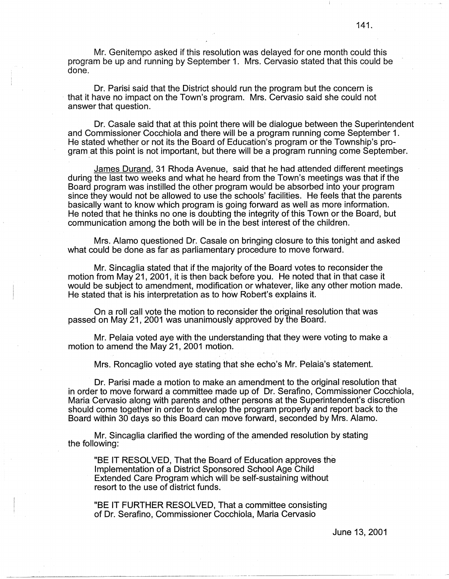Mr. Genitempo asked if this resolution was delayed for one month could this program be up and running by September 1. Mrs. Gervasio stated that this could be done.

Dr. Parisi said that the District should run the program but the concern is · that it have no impact on the Town's program. Mrs. Gervasio said she could not answer that question.

Dr. Casale said that at this point there will be dialogue between the Superintendent and Commissioner Cocchiola and there will be a program running come September 1. He stated whether or not its the Board of Education's program or the Township's program at this point is not important, but there will be a program running come September.

James Durand, 31 Rhoda Avenue, said that he had attended different meetings during the last two weeks and what he heard from the Town's meetings was that if the Board program was instilled the other program would be absorbed into your program since they would not be allowed to use the schools' facilities. He feels that the parents basically want to know which program is going forward as well as more information. He noted that he thinks no one is doubting the integrity of this Town or the Board, but communication among the both will be in the best interest of the children.

Mrs. Alamo questioned Dr. Casale on bringing closure to this tonight and asked what could be done as far as parliamentary procedure to move forward.

Mr. Sincaglia stated that if the majority of the Board votes to reconsider the motion from May 21, 2001, it is then back before you. He noted that in that case it would be subject to amendment, modification or whatever, like any other motion made. He stated that is his interpretation as to how Robert's explains it.

On a roll call vote the motion to reconsider the original resolution that was passed on May 21, 2001 was unanimously approved by the Board.

Mr. Pelaia voted aye with the understanding that they were voting to make a motion to amend the May 21, 2001 motion.

Mrs. Roncaglio voted aye stating that she echo's Mr. Pelaia's statement.

Dr. Parisi made a motion to make an amendment to the original resolution that in order to move forward a committee made up of Dr. Serafino, Commissioner Cocchiola, Maria Gervasio along with parents and other persons at the Superintendent's discretion should come together in order to develop the program properly and report back to the Board within 30 days so this Board can move forward, seconded by Mrs. Alamo.

Mr. Sincaglia clarified the wording of the amended resolution by stating the following:

"BE IT RESOLVED, That the Board of Education approves the Implementation of a District Sponsored School Age Child Extended Care Program which will be self-sustaining without resort to the use of district funds.

"BE IT FURTHER RESOLVED, That a committee consisting of Dr. Serafino, Commissioner Cocchiola, Maria Gervasio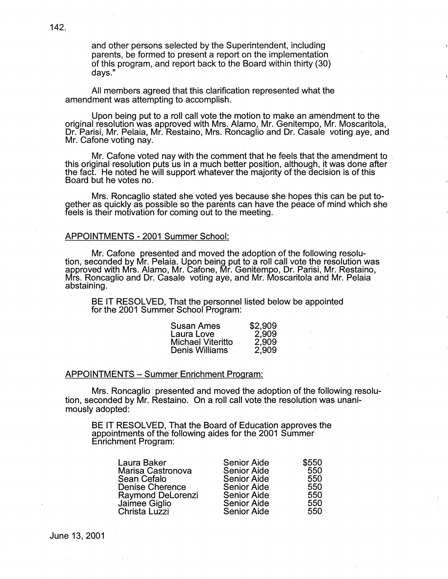and other persons selected by the Superintendent, including parents, be formed to present a report on the implementation of this program, and report back to the Board within thirty (30) days."

All members agreed that this clarification represented what the amendment was attempting to accomplish.

Upon being put to a roll call vote the motion to make an amendment to the original resolution was approved with Mrs. Alamo, Mr. Genitempo, Mr. Moscaritola, Dr. Parisi, Mr. Pelaia, Mr. Restaino, Mrs. Roncaglio and Dr. Casale voting aye, and Mr. Cafone voting nay.

Mr. Cafone voted nay with the comment that he feels that the amendment to . this original resolution puts us in a much better position, although, it was done after the fact. He noted he will support whatever the majority of the decision is of this Board but he votes no.

Mrs. Roncaglio stated she voted yes because she hopes this can be put together as quickly as possible so the parents can have the peace of mind which she feels is their motivation for coming out to the meeting.

### APPOINTMENTS - 2001 Summer School:

Mr. Cafone presented and moved the adoption of the following resolution, seconded by Mr. Pelaia. Upon being put to a roll call vote the resolution was approved with Mrs. Alamo, Mr. Cafone, Mr. Genitempo, Dr. Parisi, Mr. Restaino, Mrs. Roncaglio and Dr. Casale voting aye, and Mr. Moscaritola and Mr. Pelaia abstaining.

BE IT RESOLVED, That the personnel listed below be appointed for the 2001 Summer School Program:

| <b>Susan Ames</b>        | \$2,909 |
|--------------------------|---------|
| Laura Love               | 2,909   |
| <b>Michael Viteritto</b> | 2,909   |
| <b>Denis Williams</b>    | 2,909   |

### APPOINTMENTS - Summer Enrichment Program:

Mrs. Roncaglio presented and moved the adoption of the following resolution, seconded by Mr. Restaino. On a roll call vote the resolution was unanimously adopted:

BE IT RESOLVED, That the Board of Education approves the appointments of the following aides for the 2001 Summer Enrichment Program:

| <b>Senior Aide</b> | \$550              |
|--------------------|--------------------|
| <b>Senior Aide</b> | 550                |
| <b>Senior Aide</b> | 550                |
| <b>Senior Aide</b> | 550                |
| <b>Senior Aide</b> | 550                |
| <b>Senior Aide</b> | 550                |
|                    | 550                |
|                    | <b>Senior Aide</b> |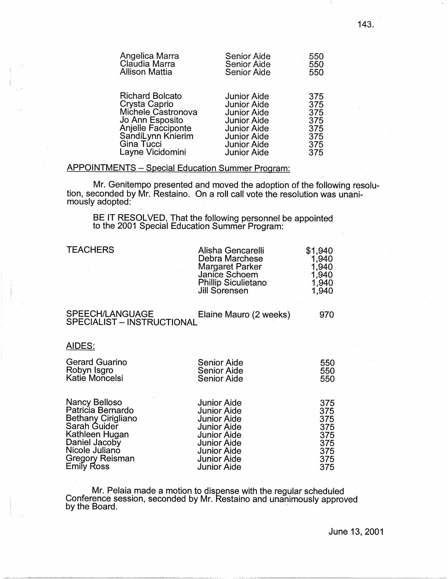| Angelica Marra         | <b>Senior Aide</b> | 550 |
|------------------------|--------------------|-----|
| Claudia Marra          | Senior Aide        | 550 |
| <b>Allison Mattia</b>  | <b>Senior Aide</b> | 550 |
| <b>Richard Bolcato</b> | <b>Junior Aide</b> | 375 |
| Crysta Caprio          | <b>Junior Aide</b> | 375 |
| Michele Castronova     | <b>Junior Aide</b> | 375 |
| Jo Ann Esposito        | <b>Junior Aide</b> | 375 |
| Anjelle Facciponte     | <b>Junior Aide</b> | 375 |
| SandiLynn Knierim      | <b>Junior Aide</b> | 375 |
| Gina Tucci             | <b>Junior Aide</b> | 375 |
| Layne Vicidomini       | <b>Junior Aide</b> | 375 |

### APPOINTMENTS - Special Education Summer Program:

Mr. Genitempo presented and moved the adoption of the following resolution, seconded by Mr. Restaino. On a roll call vote the resolution was unanimously adopted:

BE IT RESOLVED, That the following personnel be appointed to the 2001 Special Education Summer Program:

| <b>TEACHERS</b>                                                                                                    | Alisha Gencarelli<br>Debra Marchese<br><b>Margaret Parker</b><br>Janice Schoem<br><b>Phillip Siculietano</b><br>Jill Sorensen    | \$1,940<br>1,940<br>1,940<br>1,940<br>1,940<br>1,940 |
|--------------------------------------------------------------------------------------------------------------------|----------------------------------------------------------------------------------------------------------------------------------|------------------------------------------------------|
| SPEECH/LANGUAGE<br><b>SPECIALIST - INSTRUCTIONAL</b>                                                               | Elaine Mauro (2 weeks)                                                                                                           | 970                                                  |
| AIDES:                                                                                                             |                                                                                                                                  |                                                      |
| <b>Gerard Guarino</b><br>Robyn Isgro<br>Katie Moncelsi                                                             | Senior Aide<br>Senior Aide<br><b>Senior Aide</b>                                                                                 | 550<br>550<br>550                                    |
| Nancy Belloso<br>Patricia Bernardo<br><b>Bethany Cirigliano</b><br>Sarah Guider<br>Kathleen Hugan<br>Daniel Jacoby | <b>Junior Aide</b><br><b>Junior Aide</b><br><b>Junior Aide</b><br><b>Junior Aide</b><br><b>Junior Aide</b><br><b>Junior Aide</b> | 375<br>375<br>375<br>375<br>375<br>375               |

Mr. Pelaia made a motion to dispense with the regular scheduled Conference session, seconded by Mr. Restaino and unanimously approved by the Board. The contract of the Board of the state of the contract of the contract of the contract of the contract of the contract of the contract of the contract of the contract of the contract of the contract of the co

Nicole Juliano Junior Aide 375 Gr~~o2 Reisman Junior Aide 375 Em1y oss Junior Aide 375